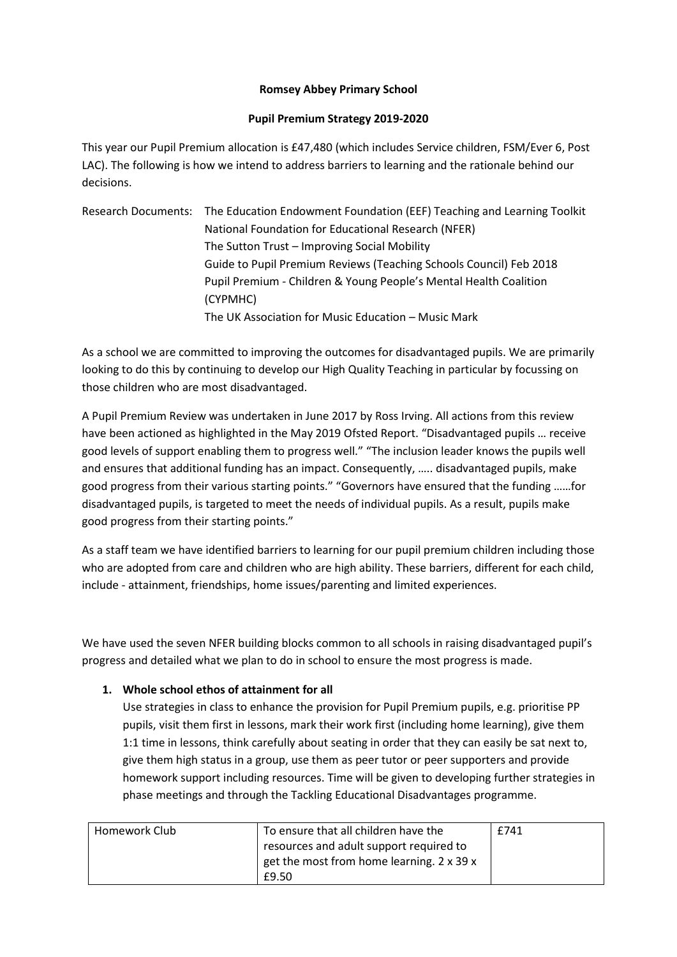## **Romsey Abbey Primary School**

## **Pupil Premium Strategy 2019-2020**

This year our Pupil Premium allocation is £47,480 (which includes Service children, FSM/Ever 6, Post LAC). The following is how we intend to address barriers to learning and the rationale behind our decisions.

| Research Documents: The Education Endowment Foundation (EEF) Teaching and Learning Toolkit |
|--------------------------------------------------------------------------------------------|
| National Foundation for Educational Research (NFER)                                        |
| The Sutton Trust – Improving Social Mobility                                               |
| Guide to Pupil Premium Reviews (Teaching Schools Council) Feb 2018                         |
| Pupil Premium - Children & Young People's Mental Health Coalition                          |
| (CYPMHC)                                                                                   |
| The UK Association for Music Education - Music Mark                                        |

As a school we are committed to improving the outcomes for disadvantaged pupils. We are primarily looking to do this by continuing to develop our High Quality Teaching in particular by focussing on those children who are most disadvantaged.

A Pupil Premium Review was undertaken in June 2017 by Ross Irving. All actions from this review have been actioned as highlighted in the May 2019 Ofsted Report. "Disadvantaged pupils … receive good levels of support enabling them to progress well." "The inclusion leader knows the pupils well and ensures that additional funding has an impact. Consequently, ….. disadvantaged pupils, make good progress from their various starting points." "Governors have ensured that the funding ……for disadvantaged pupils, is targeted to meet the needs of individual pupils. As a result, pupils make good progress from their starting points."

As a staff team we have identified barriers to learning for our pupil premium children including those who are adopted from care and children who are high ability. These barriers, different for each child, include - attainment, friendships, home issues/parenting and limited experiences.

We have used the seven NFER building blocks common to all schools in raising disadvantaged pupil's progress and detailed what we plan to do in school to ensure the most progress is made.

## **1. Whole school ethos of attainment for all**

Use strategies in class to enhance the provision for Pupil Premium pupils, e.g. prioritise PP pupils, visit them first in lessons, mark their work first (including home learning), give them 1:1 time in lessons, think carefully about seating in order that they can easily be sat next to, give them high status in a group, use them as peer tutor or peer supporters and provide homework support including resources. Time will be given to developing further strategies in phase meetings and through the Tackling Educational Disadvantages programme.

| Homework Club | To ensure that all children have the      | £741 |
|---------------|-------------------------------------------|------|
|               | resources and adult support required to   |      |
|               | get the most from home learning. 2 x 39 x |      |
|               | £9.50                                     |      |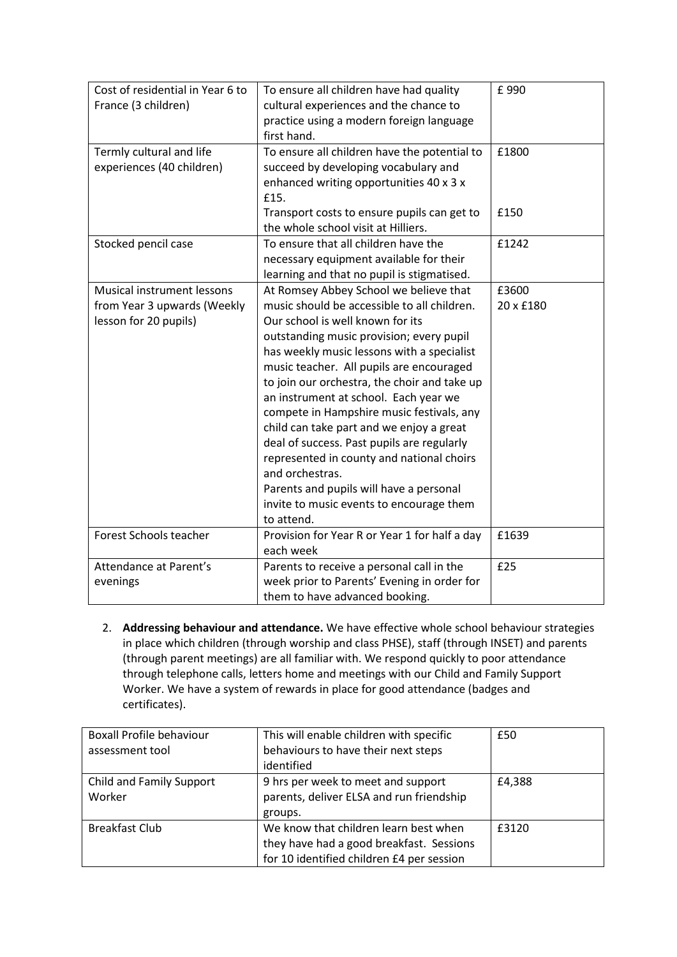| Cost of residential in Year 6 to<br>France (3 children) | To ensure all children have had quality<br>cultural experiences and the chance to<br>practice using a modern foreign language | £990      |
|---------------------------------------------------------|-------------------------------------------------------------------------------------------------------------------------------|-----------|
|                                                         | first hand.                                                                                                                   |           |
| Termly cultural and life                                | To ensure all children have the potential to                                                                                  | £1800     |
| experiences (40 children)                               | succeed by developing vocabulary and                                                                                          |           |
|                                                         | enhanced writing opportunities 40 x 3 x                                                                                       |           |
|                                                         | £15.                                                                                                                          |           |
|                                                         | Transport costs to ensure pupils can get to                                                                                   | £150      |
|                                                         | the whole school visit at Hilliers.                                                                                           |           |
| Stocked pencil case                                     | To ensure that all children have the                                                                                          | £1242     |
|                                                         | necessary equipment available for their                                                                                       |           |
|                                                         | learning and that no pupil is stigmatised.                                                                                    |           |
| Musical instrument lessons                              | At Romsey Abbey School we believe that                                                                                        | £3600     |
| from Year 3 upwards (Weekly                             | music should be accessible to all children.                                                                                   | 20 x £180 |
| lesson for 20 pupils)                                   | Our school is well known for its                                                                                              |           |
|                                                         | outstanding music provision; every pupil                                                                                      |           |
|                                                         | has weekly music lessons with a specialist                                                                                    |           |
|                                                         | music teacher. All pupils are encouraged                                                                                      |           |
|                                                         | to join our orchestra, the choir and take up                                                                                  |           |
|                                                         | an instrument at school. Each year we                                                                                         |           |
|                                                         | compete in Hampshire music festivals, any                                                                                     |           |
|                                                         | child can take part and we enjoy a great                                                                                      |           |
|                                                         | deal of success. Past pupils are regularly                                                                                    |           |
|                                                         | represented in county and national choirs                                                                                     |           |
|                                                         | and orchestras.                                                                                                               |           |
|                                                         | Parents and pupils will have a personal                                                                                       |           |
|                                                         | invite to music events to encourage them                                                                                      |           |
|                                                         | to attend.                                                                                                                    |           |
| Forest Schools teacher                                  | Provision for Year R or Year 1 for half a day                                                                                 | £1639     |
|                                                         | each week                                                                                                                     |           |
| Attendance at Parent's                                  | Parents to receive a personal call in the                                                                                     | £25       |
| evenings                                                | week prior to Parents' Evening in order for                                                                                   |           |
|                                                         | them to have advanced booking.                                                                                                |           |

2. **Addressing behaviour and attendance.** We have effective whole school behaviour strategies in place which children (through worship and class PHSE), staff (through INSET) and parents (through parent meetings) are all familiar with. We respond quickly to poor attendance through telephone calls, letters home and meetings with our Child and Family Support Worker. We have a system of rewards in place for good attendance (badges and certificates).

| <b>Boxall Profile behaviour</b><br>assessment tool | This will enable children with specific<br>behaviours to have their next steps<br>identified                                   | £50    |
|----------------------------------------------------|--------------------------------------------------------------------------------------------------------------------------------|--------|
| Child and Family Support<br>Worker                 | 9 hrs per week to meet and support<br>parents, deliver ELSA and run friendship<br>groups.                                      | £4,388 |
| <b>Breakfast Club</b>                              | We know that children learn best when<br>they have had a good breakfast. Sessions<br>for 10 identified children £4 per session | £3120  |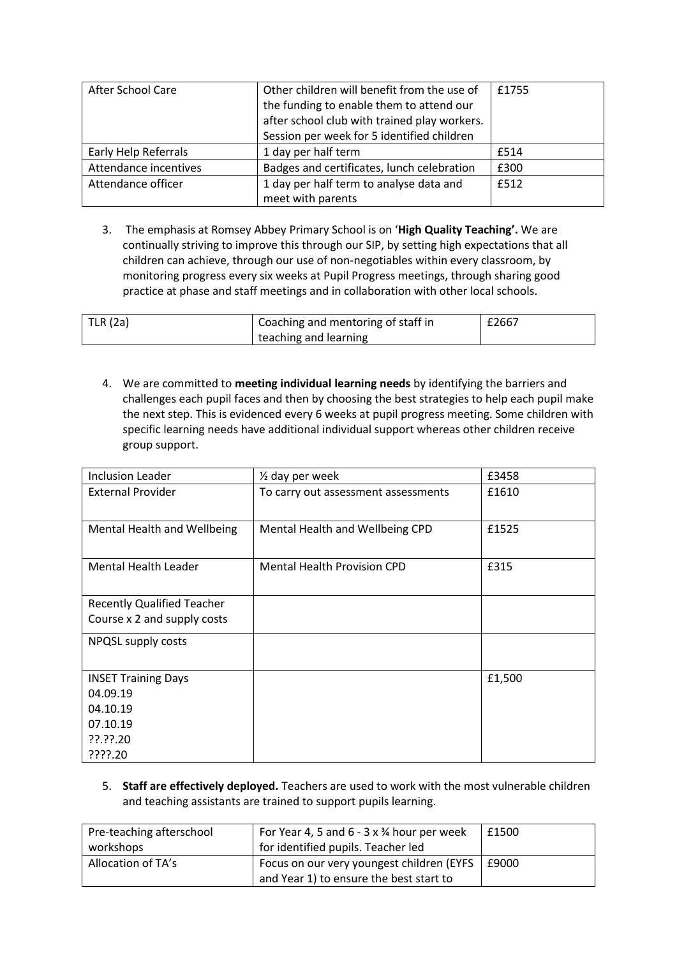| <b>After School Care</b> | Other children will benefit from the use of  | £1755       |
|--------------------------|----------------------------------------------|-------------|
|                          | the funding to enable them to attend our     |             |
|                          | after school club with trained play workers. |             |
|                          | Session per week for 5 identified children   |             |
| Early Help Referrals     | 1 day per half term                          | £514        |
| Attendance incentives    | Badges and certificates, lunch celebration   | £300        |
| Attendance officer       | 1 day per half term to analyse data and      | <b>f512</b> |
|                          | meet with parents                            |             |

3. The emphasis at Romsey Abbey Primary School is on '**High Quality Teaching'.** We are continually striving to improve this through our SIP, by setting high expectations that all children can achieve, through our use of non-negotiables within every classroom, by monitoring progress every six weeks at Pupil Progress meetings, through sharing good practice at phase and staff meetings and in collaboration with other local schools.

| TLR $(2a)$ | Coaching and mentoring of staff in | £2667 |
|------------|------------------------------------|-------|
|            | teaching and learning              |       |

4. We are committed to **meeting individual learning needs** by identifying the barriers and challenges each pupil faces and then by choosing the best strategies to help each pupil make the next step. This is evidenced every 6 weeks at pupil progress meeting. Some children with specific learning needs have additional individual support whereas other children receive group support.

| Inclusion Leader                  | $\frac{1}{2}$ day per week          | £3458  |
|-----------------------------------|-------------------------------------|--------|
| <b>External Provider</b>          | To carry out assessment assessments | £1610  |
| Mental Health and Wellbeing       | Mental Health and Wellbeing CPD     | £1525  |
| <b>Mental Health Leader</b>       | <b>Mental Health Provision CPD</b>  | £315   |
| <b>Recently Qualified Teacher</b> |                                     |        |
| Course x 2 and supply costs       |                                     |        |
| NPQSL supply costs                |                                     |        |
| <b>INSET Training Days</b>        |                                     | £1,500 |
| 04.09.19                          |                                     |        |
| 04.10.19                          |                                     |        |
| 07.10.19                          |                                     |        |
| ??.??.20                          |                                     |        |
| ????.20                           |                                     |        |

5. **Staff are effectively deployed.** Teachers are used to work with the most vulnerable children and teaching assistants are trained to support pupils learning.

| Pre-teaching afterschool | For Year 4, 5 and $6 - 3 \times 34$ hour per week | £1500 |
|--------------------------|---------------------------------------------------|-------|
| workshops                | for identified pupils. Teacher led                |       |
| Allocation of TA's       | Focus on our very youngest children (EYFS         | £9000 |
|                          | and Year 1) to ensure the best start to           |       |